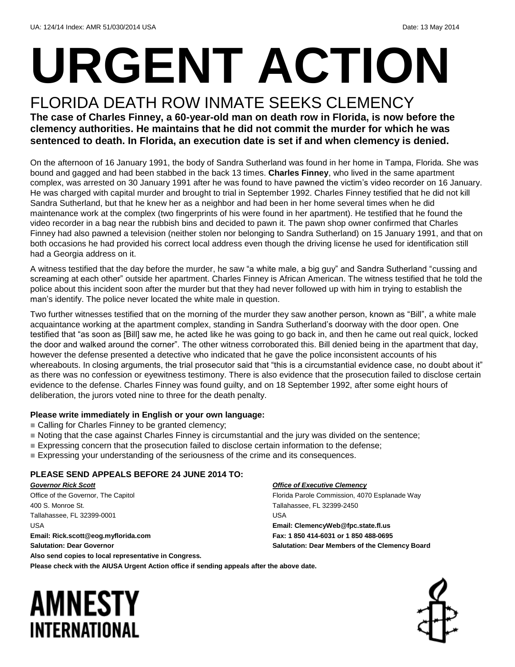# **URGENT ACTION**

#### FLORIDA DEATH ROW INMATE SEEKS CLEMENCY **The case of Charles Finney, a 60-year-old man on death row in Florida, is now before the clemency authorities. He maintains that he did not commit the murder for which he was sentenced to death. In Florida, an execution date is set if and when clemency is denied.**

On the afternoon of 16 January 1991, the body of Sandra Sutherland was found in her home in Tampa, Florida. She was bound and gagged and had been stabbed in the back 13 times. **Charles Finney**, who lived in the same apartment complex, was arrested on 30 January 1991 after he was found to have pawned the victim's video recorder on 16 January. He was charged with capital murder and brought to trial in September 1992. Charles Finney testified that he did not kill Sandra Sutherland, but that he knew her as a neighbor and had been in her home several times when he did maintenance work at the complex (two fingerprints of his were found in her apartment). He testified that he found the video recorder in a bag near the rubbish bins and decided to pawn it. The pawn shop owner confirmed that Charles Finney had also pawned a television (neither stolen nor belonging to Sandra Sutherland) on 15 January 1991, and that on both occasions he had provided his correct local address even though the driving license he used for identification still had a Georgia address on it.

A witness testified that the day before the murder, he saw "a white male, a big guy" and Sandra Sutherland "cussing and screaming at each other" outside her apartment. Charles Finney is African American. The witness testified that he told the police about this incident soon after the murder but that they had never followed up with him in trying to establish the man's identify. The police never located the white male in question.

Two further witnesses testified that on the morning of the murder they saw another person, known as "Bill", a white male acquaintance working at the apartment complex, standing in Sandra Sutherland's doorway with the door open. One testified that "as soon as [Bill] saw me, he acted like he was going to go back in, and then he came out real quick, locked the door and walked around the corner". The other witness corroborated this. Bill denied being in the apartment that day, however the defense presented a detective who indicated that he gave the police inconsistent accounts of his whereabouts. In closing arguments, the trial prosecutor said that "this is a circumstantial evidence case, no doubt about it" as there was no confession or eyewitness testimony. There is also evidence that the prosecution failed to disclose certain evidence to the defense. Charles Finney was found guilty, and on 18 September 1992, after some eight hours of deliberation, the jurors voted nine to three for the death penalty.

#### **Please write immediately in English or your own language:**

- **Calling for Charles Finney to be granted clemency;**
- Noting that the case against Charles Finney is circumstantial and the jury was divided on the sentence;
- **Expressing concern that the prosecution failed to disclose certain information to the defense;**
- Expressing your understanding of the seriousness of the crime and its consequences.

#### **PLEASE SEND APPEALS BEFORE 24 JUNE 2014 TO:**

*Governor Rick Scott* Office of the Governor, The Capitol 400 S. Monroe St. Tallahassee, FL 32399-0001 USA **Email: Rick.scott@eog.myflorida.com Salutation: Dear Governor Also send copies to local representative in Congress.**

#### *Office of Executive Clemency*

Florida Parole Commission, 4070 Esplanade Way Tallahassee, FL 32399-2450 USA **Email: ClemencyWeb@fpc.state.fl.us Fax: 1 850 414-6031 or 1 850 488-0695 Salutation: Dear Members of the Clemency Board**

#### **Please check with the AIUSA Urgent Action office if sending appeals after the above date.**

### AMNESTY INTERNATIONAL